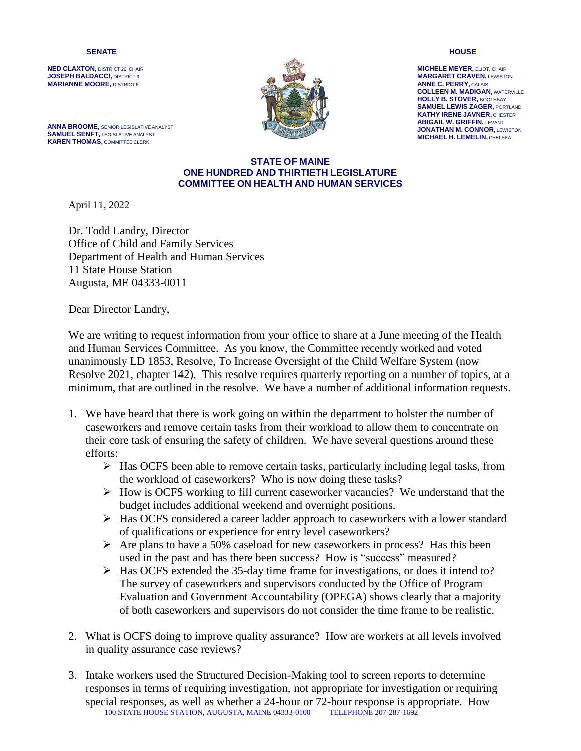## **SENATE**

**NED CLAXTON,** DISTRICT 20, CHAIR **JOSEPH BALDACCI,** DISTRICT 9 **MARIANNE MOORE,** DISTRICT 6

*\_\_\_\_\_\_\_\_*

**ANNA BROOME,** SENIOR LEGISLATIVE ANALYST **SAMUEL SENFT,** LEGISLATIVE ANALYST **KAREN THOMAS,** COMMITTEE CLERK



## **HOUSE**

**MICHELE MEYER,** ELIOT, CHAIR **MARGARET CRAVEN,** LEWISTON **ANNE C. PERRY,** CALAIS **COLLEEN M. MADIGAN,** WATERVILLE **HOLLY B. STOVER,** BOOTHBAY **SAMUEL LEWIS ZAGER,** PORTLAND **KATHY IRENE JAVNER,** CHESTER **ABIGAIL W. GRIFFIN,** LEVANT **JONATHAN M. CONNOR,** LEWISTON **MICHAEL H. LEMELIN,** CHELSEA

## **STATE OF MAINE ONE HUNDRED AND THIRTIETH LEGISLATURE COMMITTEE ON HEALTH AND HUMAN SERVICES**

April 11, 2022

Dr. Todd Landry, Director Office of Child and Family Services Department of Health and Human Services 11 State House Station Augusta, ME 04333-0011

Dear Director Landry,

We are writing to request information from your office to share at a June meeting of the Health and Human Services Committee. As you know, the Committee recently worked and voted unanimously LD 1853, Resolve, To Increase Oversight of the Child Welfare System (now Resolve 2021, chapter 142). This resolve requires quarterly reporting on a number of topics, at a minimum, that are outlined in the resolve. We have a number of additional information requests.

- 1. We have heard that there is work going on within the department to bolster the number of caseworkers and remove certain tasks from their workload to allow them to concentrate on their core task of ensuring the safety of children. We have several questions around these efforts:
	- $\triangleright$  Has OCFS been able to remove certain tasks, particularly including legal tasks, from the workload of caseworkers? Who is now doing these tasks?
	- $\triangleright$  How is OCFS working to fill current caseworker vacancies? We understand that the budget includes additional weekend and overnight positions.
	- ➢ Has OCFS considered a career ladder approach to caseworkers with a lower standard of qualifications or experience for entry level caseworkers?
	- $\triangleright$  Are plans to have a 50% caseload for new caseworkers in process? Has this been used in the past and has there been success? How is "success" measured?
	- $\triangleright$  Has OCFS extended the 35-day time frame for investigations, or does it intend to? The survey of caseworkers and supervisors conducted by the Office of Program Evaluation and Government Accountability (OPEGA) shows clearly that a majority of both caseworkers and supervisors do not consider the time frame to be realistic.
- 2. What is OCFS doing to improve quality assurance? How are workers at all levels involved in quality assurance case reviews?
- 100 STATE HOUSE STATION, AUGUSTA, MAINE 04333-0100 TELEPHONE 207-287-1692 3. Intake workers used the Structured Decision-Making tool to screen reports to determine responses in terms of requiring investigation, not appropriate for investigation or requiring special responses, as well as whether a 24-hour or 72-hour response is appropriate. How